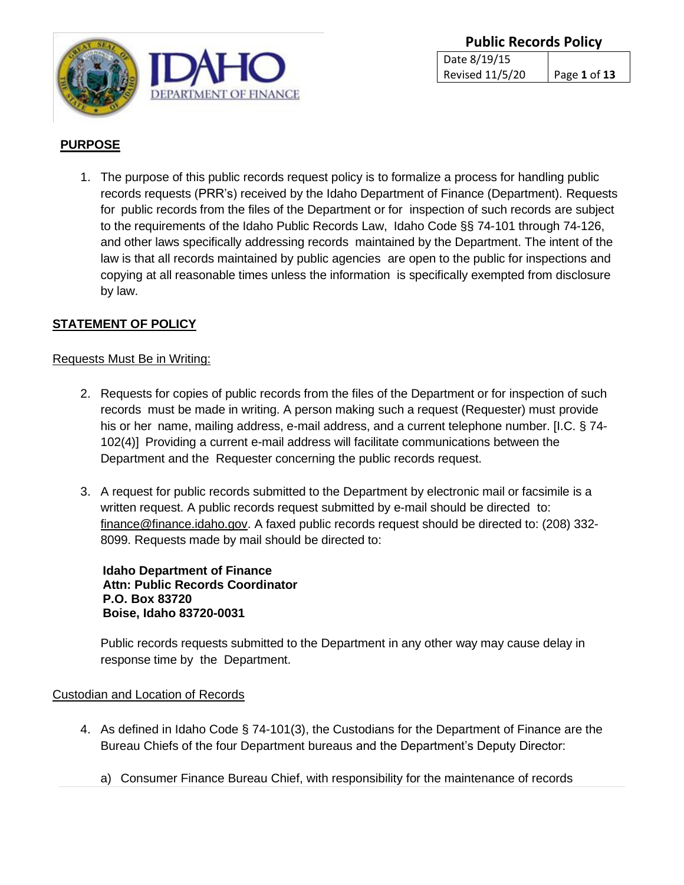

# **PURPOSE**

1. The purpose of this public records request policy is to formalize a process for handling public records requests (PRR's) received by the Idaho Department of Finance (Department). Requests for public records from the files of the Department or for inspection of such records are subject to the requirements of the Idaho Public Records Law, Idaho Code §§ 74-101 through 74-126, and other laws specifically addressing records maintained by the Department. The intent of the law is that all records maintained by public agencies are open to the public for inspections and copying at all reasonable times unless the information is specifically exempted from disclosure by law.

## **STATEMENT OF POLICY**

#### Requests Must Be in Writing:

- 2. Requests for copies of public records from the files of the Department or for inspection of such records must be made in writing. A person making such a request (Requester) must provide his or her name, mailing address, e-mail address, and a current telephone number. [I.C. § 74- 102(4)] Providing a current e-mail address will facilitate communications between the Department and the Requester concerning the public records request.
- 3. A request for public records submitted to the Department by electronic mail or facsimile is a written request. A public records request submitted by e-mail should be directed to: [finance@finance.idaho.gov.](mailto:finance@finance.idaho.gov) A faxed public records request should be directed to: (208) 332- 8099. Requests made by mail should be directed to:

**Idaho Department of Finance Attn: Public Records Coordinator P.O. Box 83720 Boise, Idaho 83720-0031**

Public records requests submitted to the Department in any other way may cause delay in response time by the Department.

#### Custodian and Location of Records

- 4. As defined in Idaho Code § 74-101(3), the Custodians for the Department of Finance are the Bureau Chiefs of the four Department bureaus and the Department's Deputy Director:
	- a) Consumer Finance Bureau Chief, with responsibility for the maintenance of records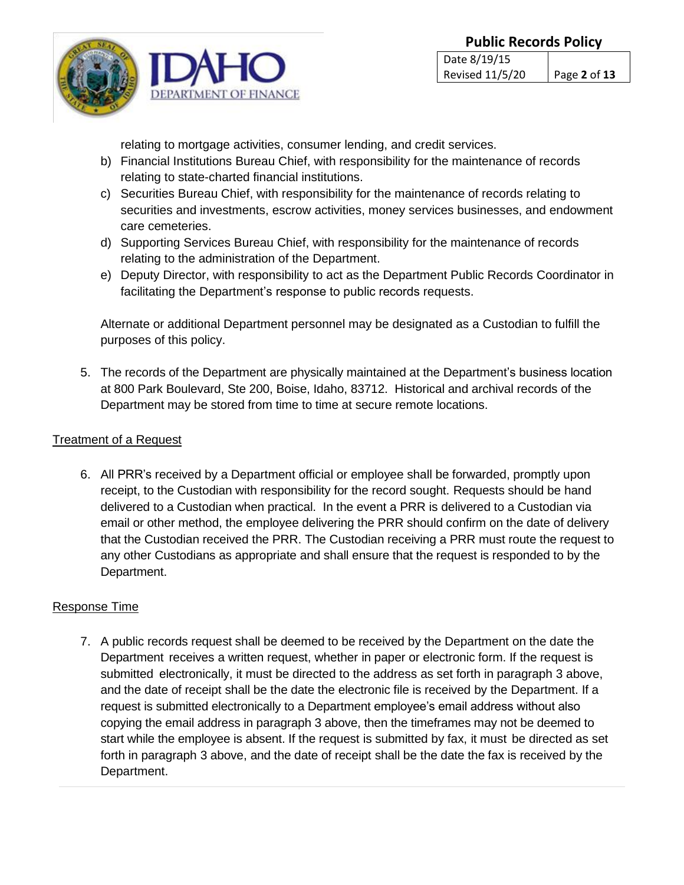

relating to mortgage activities, consumer lending, and credit services.

- b) Financial Institutions Bureau Chief, with responsibility for the maintenance of records relating to state-charted financial institutions.
- c) Securities Bureau Chief, with responsibility for the maintenance of records relating to securities and investments, escrow activities, money services businesses, and endowment care cemeteries.
- d) Supporting Services Bureau Chief, with responsibility for the maintenance of records relating to the administration of the Department.
- e) Deputy Director, with responsibility to act as the Department Public Records Coordinator in facilitating the Department's response to public records requests.

Alternate or additional Department personnel may be designated as a Custodian to fulfill the purposes of this policy.

5. The records of the Department are physically maintained at the Department's business location at 800 Park Boulevard, Ste 200, Boise, Idaho, 83712. Historical and archival records of the Department may be stored from time to time at secure remote locations.

## Treatment of a Request

6. All PRR's received by a Department official or employee shall be forwarded, promptly upon receipt, to the Custodian with responsibility for the record sought. Requests should be hand delivered to a Custodian when practical. In the event a PRR is delivered to a Custodian via email or other method, the employee delivering the PRR should confirm on the date of delivery that the Custodian received the PRR. The Custodian receiving a PRR must route the request to any other Custodians as appropriate and shall ensure that the request is responded to by the Department.

# Response Time

7. A public records request shall be deemed to be received by the Department on the date the Department receives a written request, whether in paper or electronic form. If the request is submitted electronically, it must be directed to the address as set forth in paragraph 3 above, and the date of receipt shall be the date the electronic file is received by the Department. If a request is submitted electronically to a Department employee's email address without also copying the email address in paragraph 3 above, then the timeframes may not be deemed to start while the employee is absent. If the request is submitted by fax, it must be directed as set forth in paragraph 3 above, and the date of receipt shall be the date the fax is received by the Department.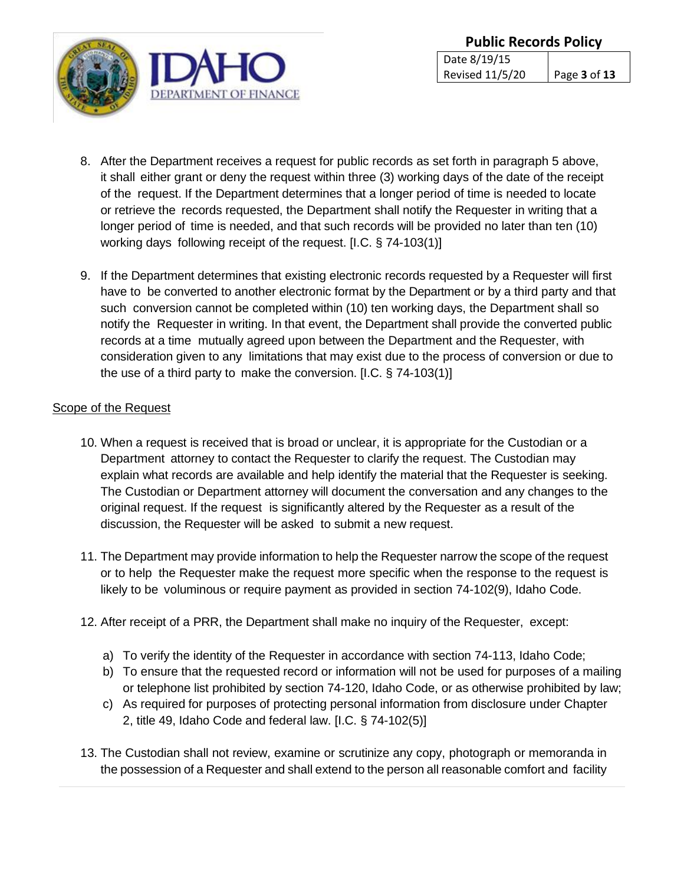

- 8. After the Department receives a request for public records as set forth in paragraph 5 above, it shall either grant or deny the request within three (3) working days of the date of the receipt of the request. If the Department determines that a longer period of time is needed to locate or retrieve the records requested, the Department shall notify the Requester in writing that a longer period of time is needed, and that such records will be provided no later than ten (10) working days following receipt of the request. [I.C. § 74-103(1)]
- 9. If the Department determines that existing electronic records requested by a Requester will first have to be converted to another electronic format by the Department or by a third party and that such conversion cannot be completed within (10) ten working days, the Department shall so notify the Requester in writing. In that event, the Department shall provide the converted public records at a time mutually agreed upon between the Department and the Requester, with consideration given to any limitations that may exist due to the process of conversion or due to the use of a third party to make the conversion. [I.C. § 74-103(1)]

### Scope of the Request

- 10. When a request is received that is broad or unclear, it is appropriate for the Custodian or a Department attorney to contact the Requester to clarify the request. The Custodian may explain what records are available and help identify the material that the Requester is seeking. The Custodian or Department attorney will document the conversation and any changes to the original request. If the request is significantly altered by the Requester as a result of the discussion, the Requester will be asked to submit a new request.
- 11. The Department may provide information to help the Requester narrow the scope of the request or to help the Requester make the request more specific when the response to the request is likely to be voluminous or require payment as provided in section 74-102(9), Idaho Code.
- 12. After receipt of a PRR, the Department shall make no inquiry of the Requester, except:
	- a) To verify the identity of the Requester in accordance with section 74-113, Idaho Code;
	- b) To ensure that the requested record or information will not be used for purposes of a mailing or telephone list prohibited by section 74-120, Idaho Code, or as otherwise prohibited by law;
	- c) As required for purposes of protecting personal information from disclosure under Chapter 2, title 49, Idaho Code and federal law. [I.C. § 74-102(5)]
- 13. The Custodian shall not review, examine or scrutinize any copy, photograph or memoranda in the possession of a Requester and shall extend to the person all reasonable comfort and facility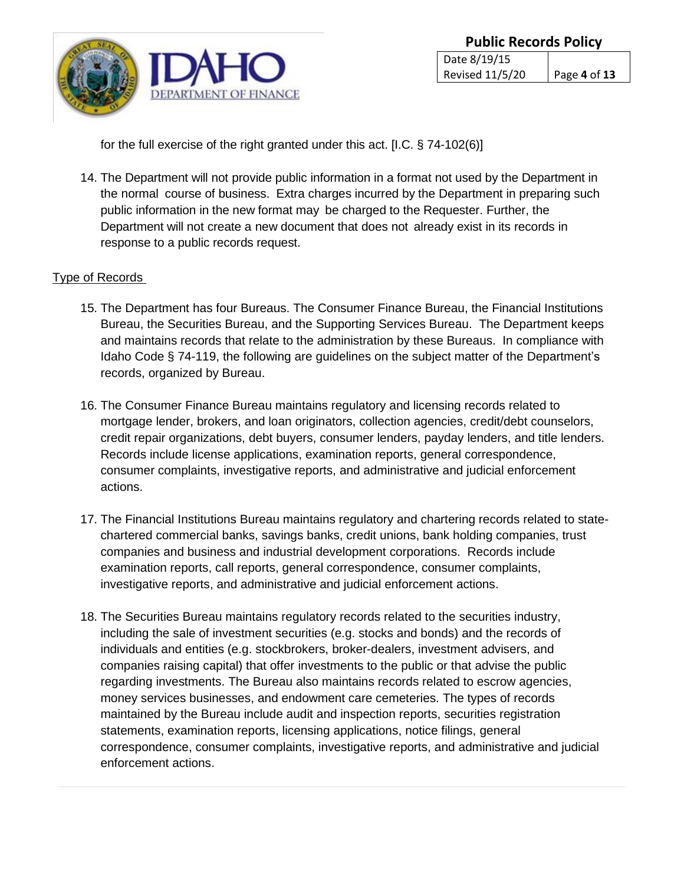

for the full exercise of the right granted under this act. [I.C. § 74-102(6)]

14. The Department will not provide public information in a format not used by the Department in the normal course of business. Extra charges incurred by the Department in preparing such public information in the new format may be charged to the Requester. Further, the Department will not create a new document that does not already exist in its records in response to a public records request.

#### Type of Records

- 15. The Department has four Bureaus. The Consumer Finance Bureau, the Financial Institutions Bureau, the Securities Bureau, and the Supporting Services Bureau. The Department keeps and maintains records that relate to the administration by these Bureaus. In compliance with Idaho Code § 74-119, the following are guidelines on the subject matter of the Department's records, organized by Bureau.
- 16. The Consumer Finance Bureau maintains regulatory and licensing records related to mortgage lender, brokers, and loan originators, collection agencies, credit/debt counselors, credit repair organizations, debt buyers, consumer lenders, payday lenders, and title lenders. Records include license applications, examination reports, general correspondence, consumer complaints, investigative reports, and administrative and judicial enforcement actions.
- 17. The Financial Institutions Bureau maintains regulatory and chartering records related to statechartered commercial banks, savings banks, credit unions, bank holding companies, trust companies and business and industrial development corporations. Records include examination reports, call reports, general correspondence, consumer complaints, investigative reports, and administrative and judicial enforcement actions.
- 18. The Securities Bureau maintains regulatory records related to the securities industry, including the sale of investment securities (e.g. stocks and bonds) and the records of individuals and entities (e.g. stockbrokers, broker-dealers, investment advisers, and companies raising capital) that offer investments to the public or that advise the public regarding investments. The Bureau also maintains records related to escrow agencies, money services businesses, and endowment care cemeteries. The types of records maintained by the Bureau include audit and inspection reports, securities registration statements, examination reports, licensing applications, notice filings, general correspondence, consumer complaints, investigative reports, and administrative and judicial enforcement actions.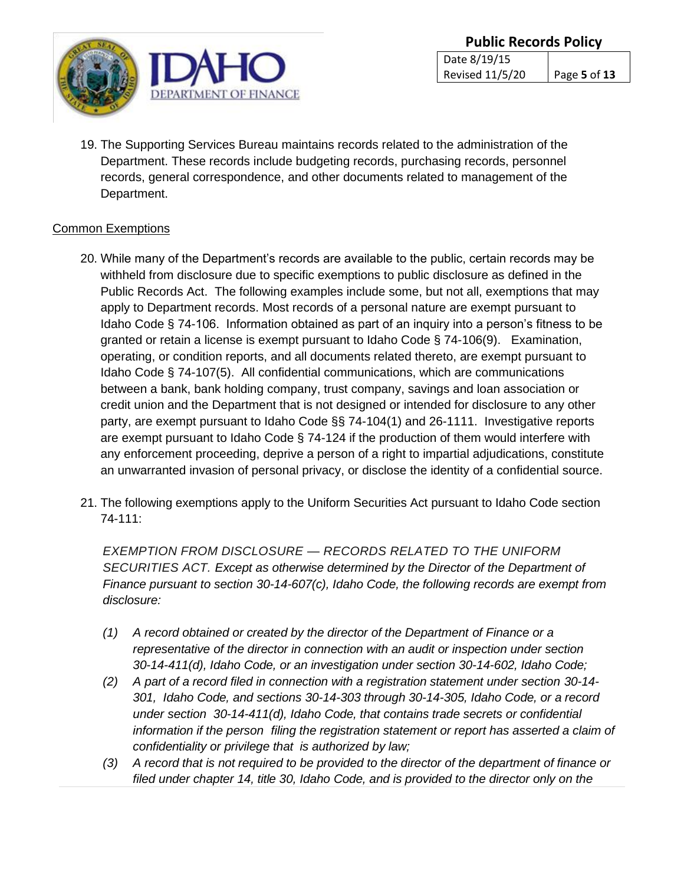

19. The Supporting Services Bureau maintains records related to the administration of the Department. These records include budgeting records, purchasing records, personnel records, general correspondence, and other documents related to management of the Department.

## Common Exemptions

- 20. While many of the Department's records are available to the public, certain records may be withheld from disclosure due to specific exemptions to public disclosure as defined in the Public Records Act. The following examples include some, but not all, exemptions that may apply to Department records. Most records of a personal nature are exempt pursuant to Idaho Code § 74-106. Information obtained as part of an inquiry into a person's fitness to be granted or retain a license is exempt pursuant to Idaho Code § 74-106(9). Examination, operating, or condition reports, and all documents related thereto, are exempt pursuant to Idaho Code § 74-107(5). All confidential communications, which are communications between a bank, bank holding company, trust company, savings and loan association or credit union and the Department that is not designed or intended for disclosure to any other party, are exempt pursuant to Idaho Code §§ 74-104(1) and 26-1111. Investigative reports are exempt pursuant to Idaho Code § 74-124 if the production of them would interfere with any enforcement proceeding, deprive a person of a right to impartial adjudications, constitute an unwarranted invasion of personal privacy, or disclose the identity of a confidential source.
- 21. The following exemptions apply to the Uniform Securities Act pursuant to Idaho Code section 74-111:

*EXEMPTION FROM DISCLOSURE — RECORDS RELATED TO THE UNIFORM SECURITIES ACT. Except as otherwise determined by the Director of the Department of Finance pursuant to section 30-14-607(c), Idaho Code, the following records are exempt from disclosure:*

- *(1) A record obtained or created by the director of the Department of Finance or a representative of the director in connection with an audit or inspection under section 30-14-411(d), Idaho Code, or an investigation under section 30-14-602, Idaho Code;*
- *(2) A part of a record filed in connection with a registration statement under section 30-14- 301, Idaho Code, and sections 30-14-303 through 30-14-305, Idaho Code, or a record under section 30-14-411(d), Idaho Code, that contains trade secrets or confidential information if the person filing the registration statement or report has asserted a claim of confidentiality or privilege that is authorized by law;*
- *(3) A record that is not required to be provided to the director of the department of finance or filed under chapter 14, title 30, Idaho Code, and is provided to the director only on the*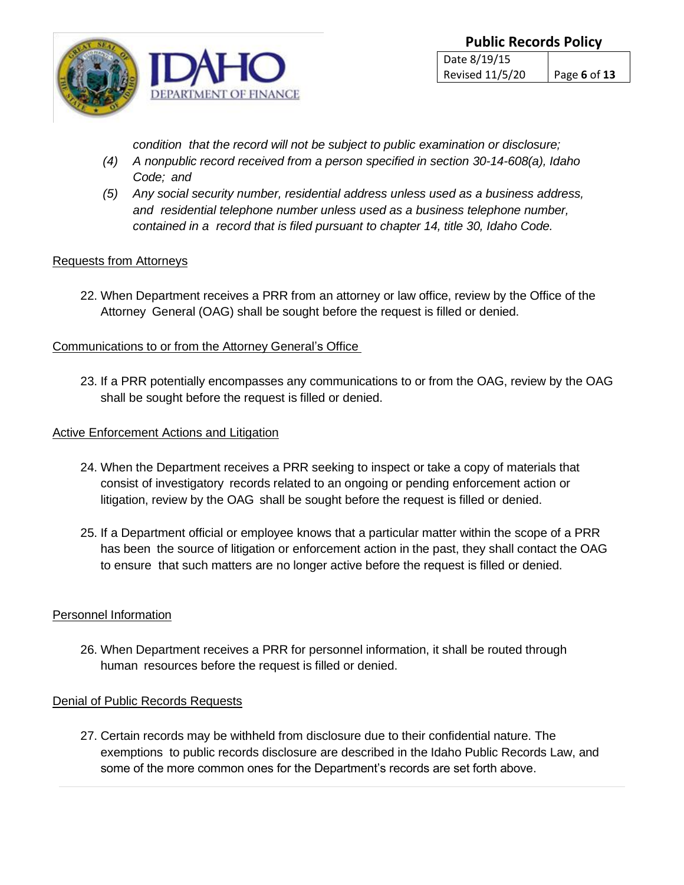

*condition that the record will not be subject to public examination or disclosure;*

- *(4) A nonpublic record received from a person specified in section 30-14-608(a), Idaho Code; and*
- *(5) Any social security number, residential address unless used as a business address, and residential telephone number unless used as a business telephone number, contained in a record that is filed pursuant to chapter 14, title 30, Idaho Code.*

## Requests from Attorneys

22. When Department receives a PRR from an attorney or law office, review by the Office of the Attorney General (OAG) shall be sought before the request is filled or denied.

### Communications to or from the Attorney General's Office

23. If a PRR potentially encompasses any communications to or from the OAG, review by the OAG shall be sought before the request is filled or denied.

### Active Enforcement Actions and Litigation

- 24. When the Department receives a PRR seeking to inspect or take a copy of materials that consist of investigatory records related to an ongoing or pending enforcement action or litigation, review by the OAG shall be sought before the request is filled or denied.
- 25. If a Department official or employee knows that a particular matter within the scope of a PRR has been the source of litigation or enforcement action in the past, they shall contact the OAG to ensure that such matters are no longer active before the request is filled or denied.

### Personnel Information

26. When Department receives a PRR for personnel information, it shall be routed through human resources before the request is filled or denied.

### Denial of Public Records Requests

27. Certain records may be withheld from disclosure due to their confidential nature. The exemptions to public records disclosure are described in the Idaho Public Records Law, and some of the more common ones for the Department's records are set forth above.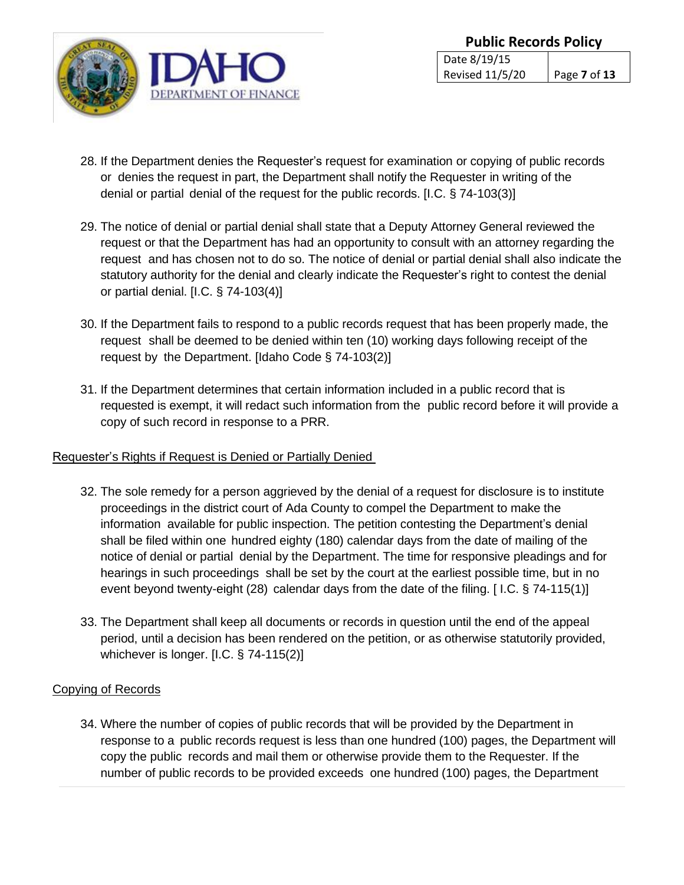

- 28. If the Department denies the Requester's request for examination or copying of public records or denies the request in part, the Department shall notify the Requester in writing of the denial or partial denial of the request for the public records. [I.C. § 74-103(3)]
- 29. The notice of denial or partial denial shall state that a Deputy Attorney General reviewed the request or that the Department has had an opportunity to consult with an attorney regarding the request and has chosen not to do so. The notice of denial or partial denial shall also indicate the statutory authority for the denial and clearly indicate the Requester's right to contest the denial or partial denial. [I.C. § 74-103(4)]
- 30. If the Department fails to respond to a public records request that has been properly made, the request shall be deemed to be denied within ten (10) working days following receipt of the request by the Department. [Idaho Code § 74-103(2)]
- 31. If the Department determines that certain information included in a public record that is requested is exempt, it will redact such information from the public record before it will provide a copy of such record in response to a PRR.

# Requester's Rights if Request is Denied or Partially Denied

- 32. The sole remedy for a person aggrieved by the denial of a request for disclosure is to institute proceedings in the district court of Ada County to compel the Department to make the information available for public inspection. The petition contesting the Department's denial shall be filed within one hundred eighty (180) calendar days from the date of mailing of the notice of denial or partial denial by the Department. The time for responsive pleadings and for hearings in such proceedings shall be set by the court at the earliest possible time, but in no event beyond twenty-eight (28) calendar days from the date of the filing. [ I.C. § 74-115(1)]
- 33. The Department shall keep all documents or records in question until the end of the appeal period, until a decision has been rendered on the petition, or as otherwise statutorily provided, whichever is longer. [I.C. § 74-115(2)]

# Copying of Records

34. Where the number of copies of public records that will be provided by the Department in response to a public records request is less than one hundred (100) pages, the Department will copy the public records and mail them or otherwise provide them to the Requester. If the number of public records to be provided exceeds one hundred (100) pages, the Department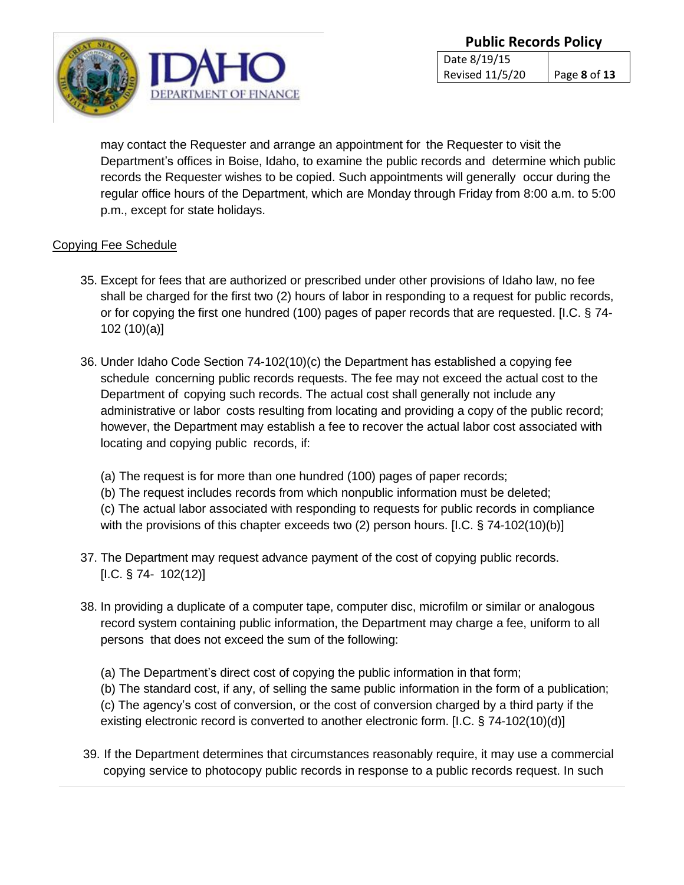

may contact the Requester and arrange an appointment for the Requester to visit the Department's offices in Boise, Idaho, to examine the public records and determine which public records the Requester wishes to be copied. Such appointments will generally occur during the regular office hours of the Department, which are Monday through Friday from 8:00 a.m. to 5:00 p.m., except for state holidays.

## Copying Fee Schedule

- 35. Except for fees that are authorized or prescribed under other provisions of Idaho law, no fee shall be charged for the first two (2) hours of labor in responding to a request for public records, or for copying the first one hundred (100) pages of paper records that are requested. [I.C. § 74- 102 (10)(a)]
- 36. Under Idaho Code Section 74-102(10)(c) the Department has established a copying fee schedule concerning public records requests. The fee may not exceed the actual cost to the Department of copying such records. The actual cost shall generally not include any administrative or labor costs resulting from locating and providing a copy of the public record; however, the Department may establish a fee to recover the actual labor cost associated with locating and copying public records, if:
	- (a) The request is for more than one hundred (100) pages of paper records;

(b) The request includes records from which nonpublic information must be deleted;

(c) The actual labor associated with responding to requests for public records in compliance with the provisions of this chapter exceeds two (2) person hours. [I.C. § 74-102(10)(b)]

- 37. The Department may request advance payment of the cost of copying public records.  $[1.C. § 74- 102(12)]$
- 38. In providing a duplicate of a computer tape, computer disc, microfilm or similar or analogous record system containing public information, the Department may charge a fee, uniform to all persons that does not exceed the sum of the following:
	- (a) The Department's direct cost of copying the public information in that form;

(b) The standard cost, if any, of selling the same public information in the form of a publication; (c) The agency's cost of conversion, or the cost of conversion charged by a third party if the existing electronic record is converted to another electronic form. [I.C. § 74-102(10)(d)]

39. If the Department determines that circumstances reasonably require, it may use a commercial copying service to photocopy public records in response to a public records request. In such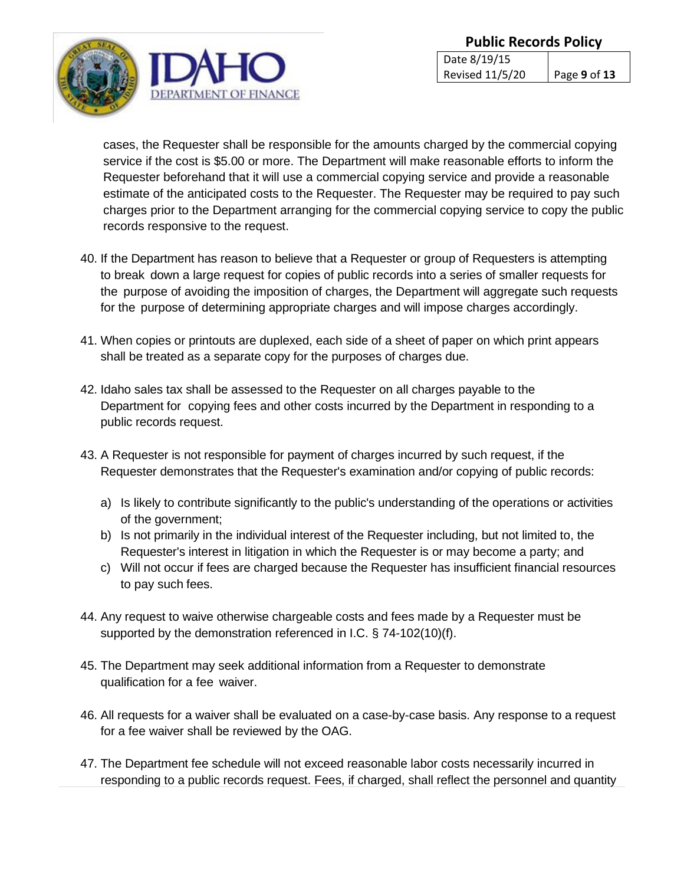

cases, the Requester shall be responsible for the amounts charged by the commercial copying service if the cost is \$5.00 or more. The Department will make reasonable efforts to inform the Requester beforehand that it will use a commercial copying service and provide a reasonable estimate of the anticipated costs to the Requester. The Requester may be required to pay such charges prior to the Department arranging for the commercial copying service to copy the public records responsive to the request.

- 40. If the Department has reason to believe that a Requester or group of Requesters is attempting to break down a large request for copies of public records into a series of smaller requests for the purpose of avoiding the imposition of charges, the Department will aggregate such requests for the purpose of determining appropriate charges and will impose charges accordingly.
- 41. When copies or printouts are duplexed, each side of a sheet of paper on which print appears shall be treated as a separate copy for the purposes of charges due.
- 42. Idaho sales tax shall be assessed to the Requester on all charges payable to the Department for copying fees and other costs incurred by the Department in responding to a public records request.
- 43. A Requester is not responsible for payment of charges incurred by such request, if the Requester demonstrates that the Requester's examination and/or copying of public records:
	- a) Is likely to contribute significantly to the public's understanding of the operations or activities of the government;
	- b) Is not primarily in the individual interest of the Requester including, but not limited to, the Requester's interest in litigation in which the Requester is or may become a party; and
	- c) Will not occur if fees are charged because the Requester has insufficient financial resources to pay such fees.
- 44. Any request to waive otherwise chargeable costs and fees made by a Requester must be supported by the demonstration referenced in I.C. § 74-102(10)(f).
- 45. The Department may seek additional information from a Requester to demonstrate qualification for a fee waiver.
- 46. All requests for a waiver shall be evaluated on a case-by-case basis. Any response to a request for a fee waiver shall be reviewed by the OAG.
- 47. The Department fee schedule will not exceed reasonable labor costs necessarily incurred in responding to a public records request. Fees, if charged, shall reflect the personnel and quantity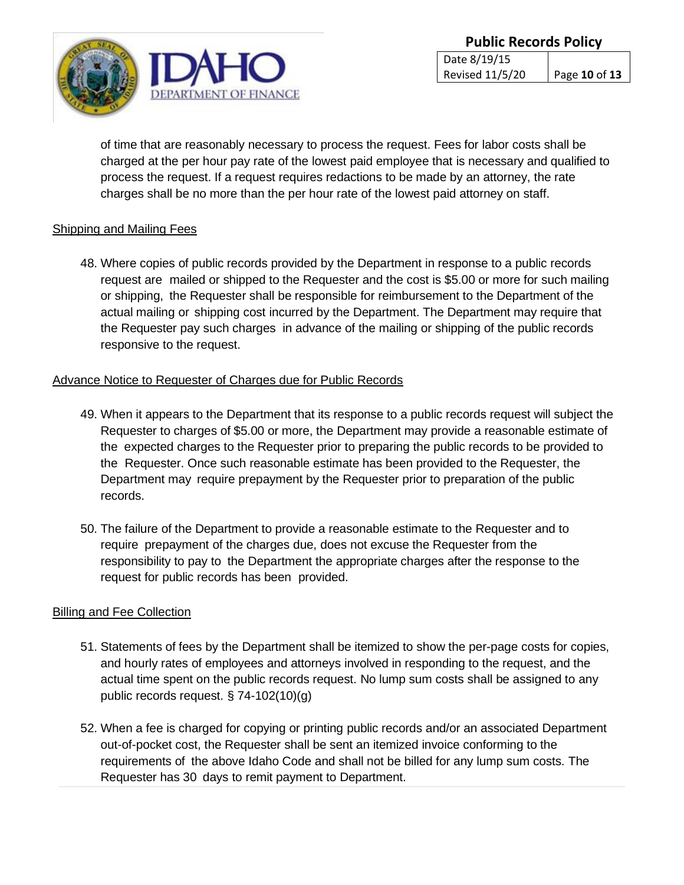

of time that are reasonably necessary to process the request. Fees for labor costs shall be charged at the per hour pay rate of the lowest paid employee that is necessary and qualified to process the request. If a request requires redactions to be made by an attorney, the rate charges shall be no more than the per hour rate of the lowest paid attorney on staff.

### Shipping and Mailing Fees

48. Where copies of public records provided by the Department in response to a public records request are mailed or shipped to the Requester and the cost is \$5.00 or more for such mailing or shipping, the Requester shall be responsible for reimbursement to the Department of the actual mailing or shipping cost incurred by the Department. The Department may require that the Requester pay such charges in advance of the mailing or shipping of the public records responsive to the request.

#### Advance Notice to Requester of Charges due for Public Records

- 49. When it appears to the Department that its response to a public records request will subject the Requester to charges of \$5.00 or more, the Department may provide a reasonable estimate of the expected charges to the Requester prior to preparing the public records to be provided to the Requester. Once such reasonable estimate has been provided to the Requester, the Department may require prepayment by the Requester prior to preparation of the public records.
- 50. The failure of the Department to provide a reasonable estimate to the Requester and to require prepayment of the charges due, does not excuse the Requester from the responsibility to pay to the Department the appropriate charges after the response to the request for public records has been provided.

### Billing and Fee Collection

- 51. Statements of fees by the Department shall be itemized to show the per-page costs for copies, and hourly rates of employees and attorneys involved in responding to the request, and the actual time spent on the public records request. No lump sum costs shall be assigned to any public records request. § 74-102(10)(g)
- 52. When a fee is charged for copying or printing public records and/or an associated Department out-of-pocket cost, the Requester shall be sent an itemized invoice conforming to the requirements of the above Idaho Code and shall not be billed for any lump sum costs. The Requester has 30 days to remit payment to Department.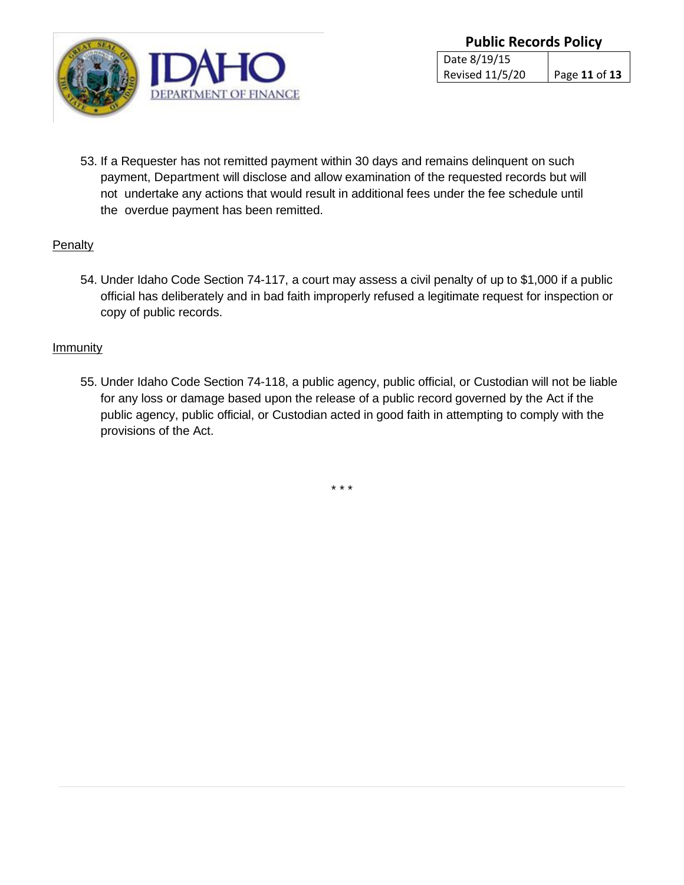

53. If a Requester has not remitted payment within 30 days and remains delinquent on such payment, Department will disclose and allow examination of the requested records but will not undertake any actions that would result in additional fees under the fee schedule until the overdue payment has been remitted.

## **Penalty**

54. Under Idaho Code Section 74-117, a court may assess a civil penalty of up to \$1,000 if a public official has deliberately and in bad faith improperly refused a legitimate request for inspection or copy of public records.

## **Immunity**

55. Under Idaho Code Section 74-118, a public agency, public official, or Custodian will not be liable for any loss or damage based upon the release of a public record governed by the Act if the public agency, public official, or Custodian acted in good faith in attempting to comply with the provisions of the Act.

\* \* \*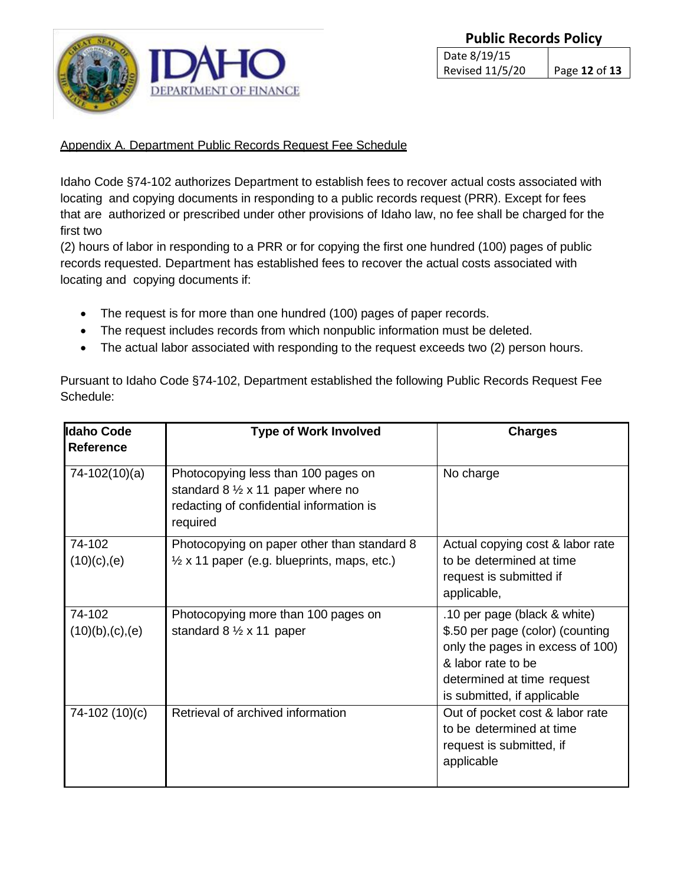

## Appendix A. Department Public Records Request Fee Schedule

Idaho Code §74-102 authorizes Department to establish fees to recover actual costs associated with locating and copying documents in responding to a public records request (PRR). Except for fees that are authorized or prescribed under other provisions of Idaho law, no fee shall be charged for the first two

(2) hours of labor in responding to a PRR or for copying the first one hundred (100) pages of public records requested. Department has established fees to recover the actual costs associated with locating and copying documents if:

- The request is for more than one hundred (100) pages of paper records.
- The request includes records from which nonpublic information must be deleted.
- The actual labor associated with responding to the request exceeds two (2) person hours.

Pursuant to Idaho Code §74-102, Department established the following Public Records Request Fee Schedule:

| <b>Idaho Code</b><br>Reference | <b>Type of Work Involved</b>                                                                                                                     | <b>Charges</b>                                                                                                                                                                          |
|--------------------------------|--------------------------------------------------------------------------------------------------------------------------------------------------|-----------------------------------------------------------------------------------------------------------------------------------------------------------------------------------------|
| 74-102(10)(a)                  | Photocopying less than 100 pages on<br>standard $8 \frac{1}{2} \times 11$ paper where no<br>redacting of confidential information is<br>required | No charge                                                                                                                                                                               |
| 74-102<br>$(10)(c)$ , (e)      | Photocopying on paper other than standard 8<br>$\frac{1}{2}$ x 11 paper (e.g. blueprints, maps, etc.)                                            | Actual copying cost & labor rate<br>to be determined at time<br>request is submitted if<br>applicable,                                                                                  |
| 74-102<br>(10)(b),(c),(e)      | Photocopying more than 100 pages on<br>standard $8\frac{1}{2} \times 11$ paper                                                                   | .10 per page (black & white)<br>\$.50 per page (color) (counting<br>only the pages in excess of 100)<br>& labor rate to be<br>determined at time request<br>is submitted, if applicable |
| 74-102 (10)(c)                 | Retrieval of archived information                                                                                                                | Out of pocket cost & labor rate<br>to be determined at time<br>request is submitted, if<br>applicable                                                                                   |